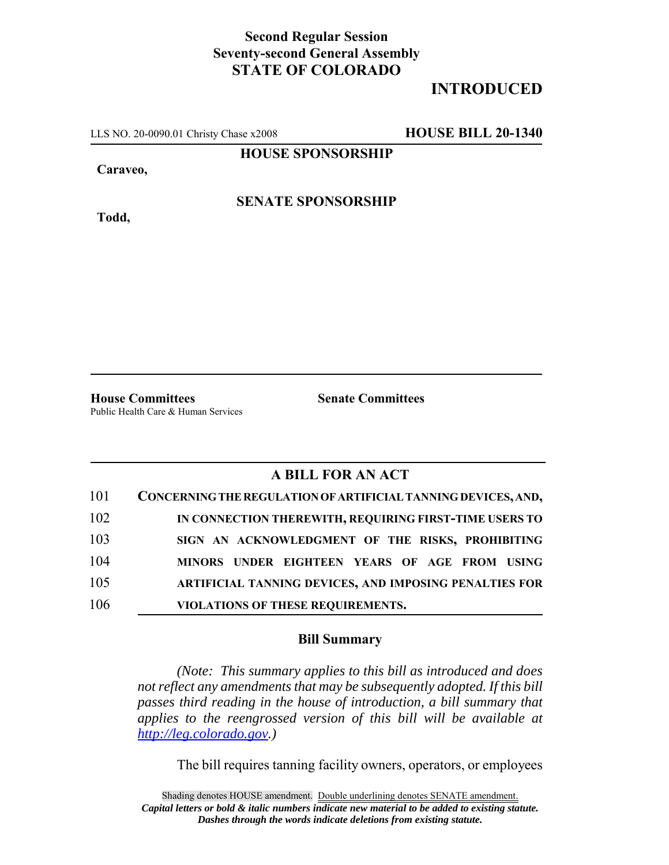## **Second Regular Session Seventy-second General Assembly STATE OF COLORADO**

## **INTRODUCED**

LLS NO. 20-0090.01 Christy Chase x2008 **HOUSE BILL 20-1340**

**HOUSE SPONSORSHIP**

**Caraveo,**

**SENATE SPONSORSHIP**

**Todd,**

**House Committees Senate Committees** Public Health Care & Human Services

## **A BILL FOR AN ACT**

| 101 | CONCERNING THE REGULATION OF ARTIFICIAL TANNING DEVICES, AND, |
|-----|---------------------------------------------------------------|
| 102 | IN CONNECTION THEREWITH, REQUIRING FIRST-TIME USERS TO        |
| 103 | SIGN AN ACKNOWLEDGMENT OF THE RISKS, PROHIBITING              |
| 104 | MINORS UNDER EIGHTEEN YEARS OF AGE FROM USING                 |
| 105 | ARTIFICIAL TANNING DEVICES, AND IMPOSING PENALTIES FOR        |
| 106 | VIOLATIONS OF THESE REQUIREMENTS.                             |

## **Bill Summary**

*(Note: This summary applies to this bill as introduced and does not reflect any amendments that may be subsequently adopted. If this bill passes third reading in the house of introduction, a bill summary that applies to the reengrossed version of this bill will be available at http://leg.colorado.gov.)*

The bill requires tanning facility owners, operators, or employees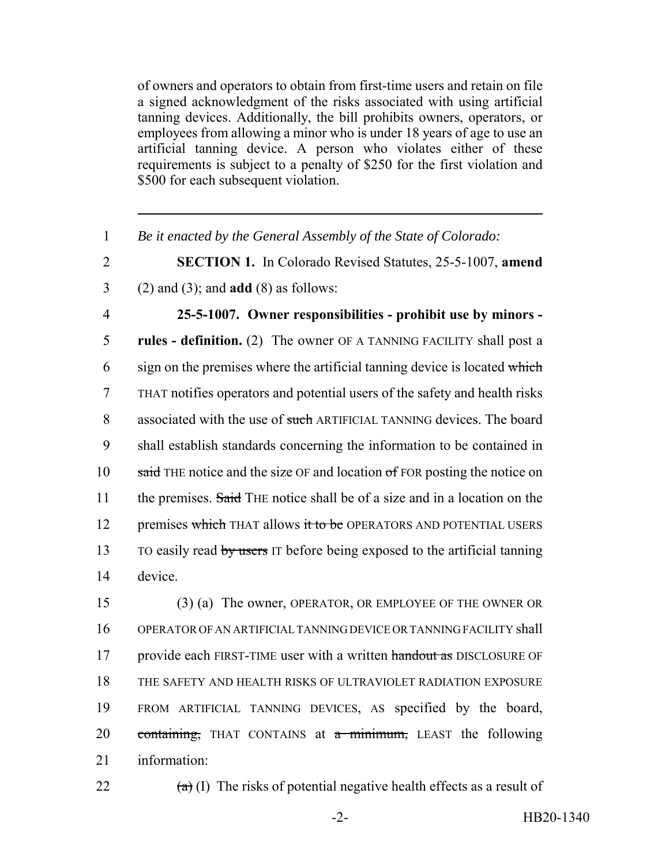of owners and operators to obtain from first-time users and retain on file a signed acknowledgment of the risks associated with using artificial tanning devices. Additionally, the bill prohibits owners, operators, or employees from allowing a minor who is under 18 years of age to use an artificial tanning device. A person who violates either of these requirements is subject to a penalty of \$250 for the first violation and \$500 for each subsequent violation.

- 1 *Be it enacted by the General Assembly of the State of Colorado:*
- 2 **SECTION 1.** In Colorado Revised Statutes, 25-5-1007, **amend** 3 (2) and (3); and **add** (8) as follows:
- 

4 **25-5-1007. Owner responsibilities - prohibit use by minors -** 5 **rules - definition.** (2) The owner OF A TANNING FACILITY shall post a  $6$  sign on the premises where the artificial tanning device is located which 7 THAT notifies operators and potential users of the safety and health risks 8 associated with the use of such ARTIFICIAL TANNING devices. The board 9 shall establish standards concerning the information to be contained in 10  $\frac{10}{2}$  said THE notice and the size OF and location of FOR posting the notice on 11 the premises. Said THE notice shall be of a size and in a location on the 12 premises which THAT allows it to be OPERATORS AND POTENTIAL USERS 13 TO easily read by users IT before being exposed to the artificial tanning 14 device.

 (3) (a) The owner, OPERATOR, OR EMPLOYEE OF THE OWNER OR OPERATOR OF AN ARTIFICIAL TANNING DEVICE OR TANNING FACILITY shall 17 provide each FIRST-TIME user with a written handout as DISCLOSURE OF THE SAFETY AND HEALTH RISKS OF ULTRAVIOLET RADIATION EXPOSURE FROM ARTIFICIAL TANNING DEVICES, AS specified by the board, 20 containing, THAT CONTAINS at a minimum, LEAST the following information:

22  $\left(\frac{a}{b}\right)$  (I) The risks of potential negative health effects as a result of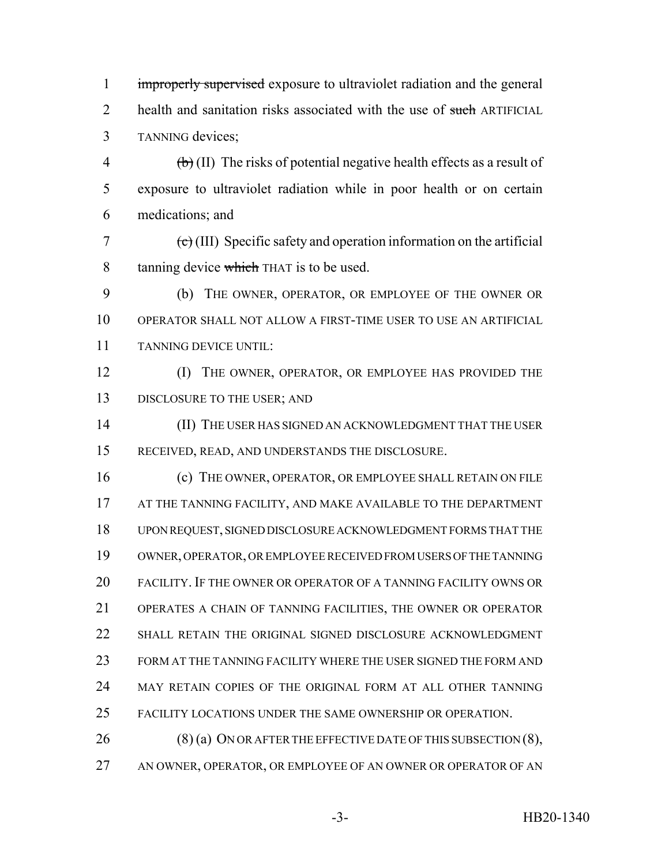1 improperly supervised exposure to ultraviolet radiation and the general 2 health and sanitation risks associated with the use of such ARTIFICIAL TANNING devices;

 $\phi$  (II) The risks of potential negative health effects as a result of exposure to ultraviolet radiation while in poor health or on certain medications; and

 $\epsilon$  (III) Specific safety and operation information on the artificial 8 tanning device which THAT is to be used.

 (b) THE OWNER, OPERATOR, OR EMPLOYEE OF THE OWNER OR OPERATOR SHALL NOT ALLOW A FIRST-TIME USER TO USE AN ARTIFICIAL TANNING DEVICE UNTIL:

 (I) THE OWNER, OPERATOR, OR EMPLOYEE HAS PROVIDED THE 13 DISCLOSURE TO THE USER; AND

 (II) THE USER HAS SIGNED AN ACKNOWLEDGMENT THAT THE USER RECEIVED, READ, AND UNDERSTANDS THE DISCLOSURE.

16 (c) THE OWNER, OPERATOR, OR EMPLOYEE SHALL RETAIN ON FILE 17 AT THE TANNING FACILITY, AND MAKE AVAILABLE TO THE DEPARTMENT UPON REQUEST, SIGNED DISCLOSURE ACKNOWLEDGMENT FORMS THAT THE OWNER, OPERATOR, OR EMPLOYEE RECEIVED FROM USERS OF THE TANNING FACILITY. IF THE OWNER OR OPERATOR OF A TANNING FACILITY OWNS OR OPERATES A CHAIN OF TANNING FACILITIES, THE OWNER OR OPERATOR SHALL RETAIN THE ORIGINAL SIGNED DISCLOSURE ACKNOWLEDGMENT FORM AT THE TANNING FACILITY WHERE THE USER SIGNED THE FORM AND MAY RETAIN COPIES OF THE ORIGINAL FORM AT ALL OTHER TANNING FACILITY LOCATIONS UNDER THE SAME OWNERSHIP OR OPERATION.

26 (8) (a) ON OR AFTER THE EFFECTIVE DATE OF THIS SUBSECTION (8), AN OWNER, OPERATOR, OR EMPLOYEE OF AN OWNER OR OPERATOR OF AN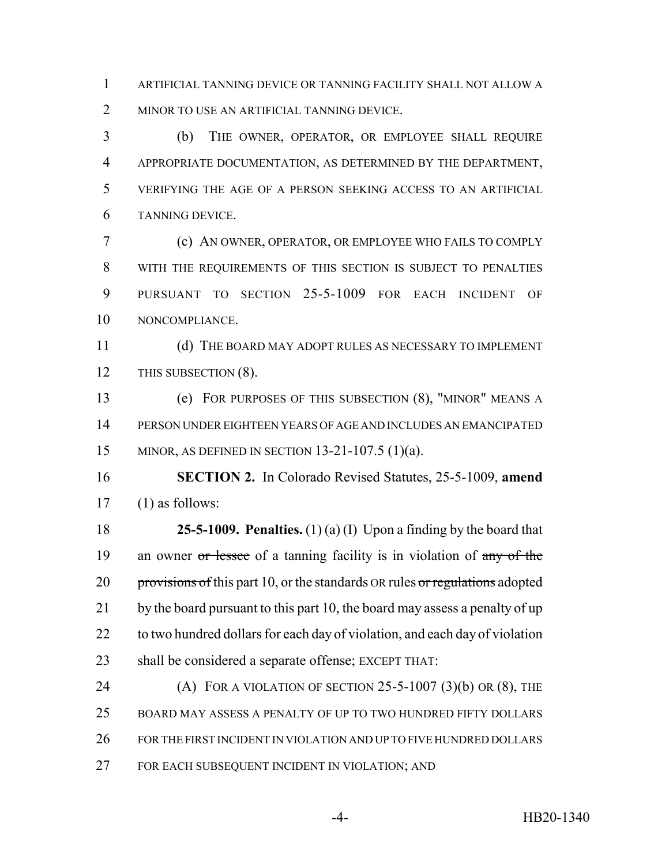ARTIFICIAL TANNING DEVICE OR TANNING FACILITY SHALL NOT ALLOW A 2 MINOR TO USE AN ARTIFICIAL TANNING DEVICE.

 (b) THE OWNER, OPERATOR, OR EMPLOYEE SHALL REQUIRE APPROPRIATE DOCUMENTATION, AS DETERMINED BY THE DEPARTMENT, VERIFYING THE AGE OF A PERSON SEEKING ACCESS TO AN ARTIFICIAL TANNING DEVICE.

 (c) AN OWNER, OPERATOR, OR EMPLOYEE WHO FAILS TO COMPLY WITH THE REQUIREMENTS OF THIS SECTION IS SUBJECT TO PENALTIES PURSUANT TO SECTION 25-5-1009 FOR EACH INCIDENT OF NONCOMPLIANCE.

 (d) THE BOARD MAY ADOPT RULES AS NECESSARY TO IMPLEMENT 12 THIS SUBSECTION (8).

 (e) FOR PURPOSES OF THIS SUBSECTION (8), "MINOR" MEANS A PERSON UNDER EIGHTEEN YEARS OF AGE AND INCLUDES AN EMANCIPATED MINOR, AS DEFINED IN SECTION 13-21-107.5 (1)(a).

 **SECTION 2.** In Colorado Revised Statutes, 25-5-1009, **amend** (1) as follows:

 **25-5-1009. Penalties.** (1) (a) (I) Upon a finding by the board that 19 an owner or lessee of a tanning facility is in violation of any of the 20 provisions of this part 10, or the standards OR rules or regulations adopted 21 by the board pursuant to this part 10, the board may assess a penalty of up 22 to two hundred dollars for each day of violation, and each day of violation shall be considered a separate offense; EXCEPT THAT:

24 (A) FOR A VIOLATION OF SECTION  $25-5-1007$  (3)(b) OR (8), THE BOARD MAY ASSESS A PENALTY OF UP TO TWO HUNDRED FIFTY DOLLARS FOR THE FIRST INCIDENT IN VIOLATION AND UP TO FIVE HUNDRED DOLLARS FOR EACH SUBSEQUENT INCIDENT IN VIOLATION; AND